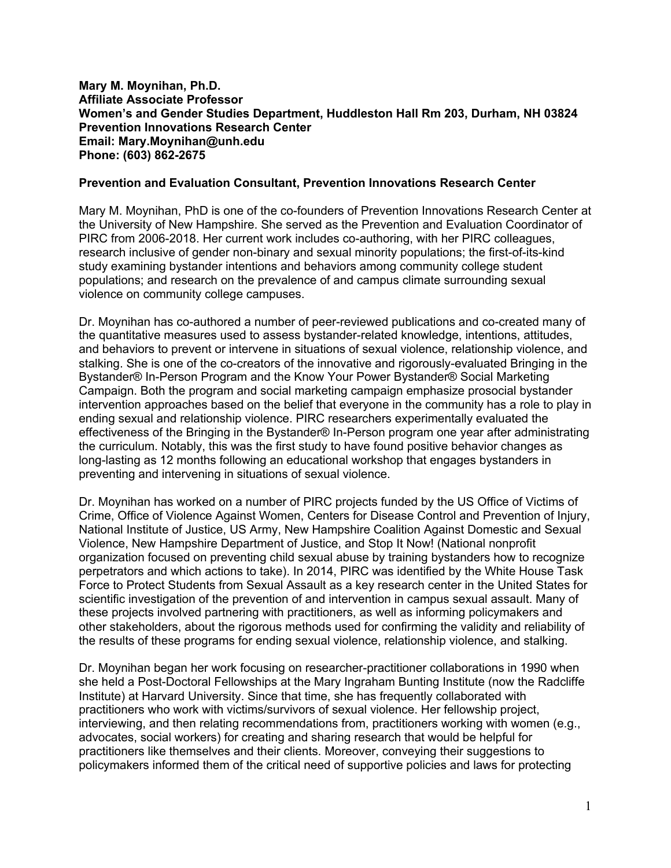#### **Mary M. Moynihan, Ph.D. Affiliate Associate Professor Women's and Gender Studies Department, Huddleston Hall Rm 203, Durham, NH 03824 Prevention Innovations Research Center Email: Mary.Moynihan@unh.edu Phone: (603) 862-2675**

#### **Prevention and Evaluation Consultant, Prevention Innovations Research Center**

Mary M. Moynihan, PhD is one of the co-founders of Prevention Innovations Research Center at the University of New Hampshire. She served as the Prevention and Evaluation Coordinator of PIRC from 2006-2018. Her current work includes co-authoring, with her PIRC colleagues, research inclusive of gender non-binary and sexual minority populations; the first-of-its-kind study examining bystander intentions and behaviors among community college student populations; and research on the prevalence of and campus climate surrounding sexual violence on community college campuses.

Dr. Moynihan has co-authored a number of peer-reviewed publications and co-created many of the quantitative measures used to assess bystander-related knowledge, intentions, attitudes, and behaviors to prevent or intervene in situations of sexual violence, relationship violence, and stalking. She is one of the co-creators of the innovative and rigorously-evaluated Bringing in the Bystander® In-Person Program and the Know Your Power Bystander® Social Marketing Campaign. Both the program and social marketing campaign emphasize prosocial bystander intervention approaches based on the belief that everyone in the community has a role to play in ending sexual and relationship violence. PIRC researchers experimentally evaluated the effectiveness of the Bringing in the Bystander® In-Person program one year after administrating the curriculum. Notably, this was the first study to have found positive behavior changes as long-lasting as 12 months following an educational workshop that engages bystanders in preventing and intervening in situations of sexual violence.

Dr. Moynihan has worked on a number of PIRC projects funded by the US Office of Victims of Crime, Office of Violence Against Women, Centers for Disease Control and Prevention of Injury, National Institute of Justice, US Army, New Hampshire Coalition Against Domestic and Sexual Violence, New Hampshire Department of Justice, and Stop It Now! (National nonprofit organization focused on preventing child sexual abuse by training bystanders how to recognize perpetrators and which actions to take). In 2014, PIRC was identified by the White House Task Force to Protect Students from Sexual Assault as a key research center in the United States for scientific investigation of the prevention of and intervention in campus sexual assault. Many of these projects involved partnering with practitioners, as well as informing policymakers and other stakeholders, about the rigorous methods used for confirming the validity and reliability of the results of these programs for ending sexual violence, relationship violence, and stalking.

Dr. Moynihan began her work focusing on researcher-practitioner collaborations in 1990 when she held a Post-Doctoral Fellowships at the Mary Ingraham Bunting Institute (now the Radcliffe Institute) at Harvard University. Since that time, she has frequently collaborated with practitioners who work with victims/survivors of sexual violence. Her fellowship project, interviewing, and then relating recommendations from, practitioners working with women (e.g., advocates, social workers) for creating and sharing research that would be helpful for practitioners like themselves and their clients. Moreover, conveying their suggestions to policymakers informed them of the critical need of supportive policies and laws for protecting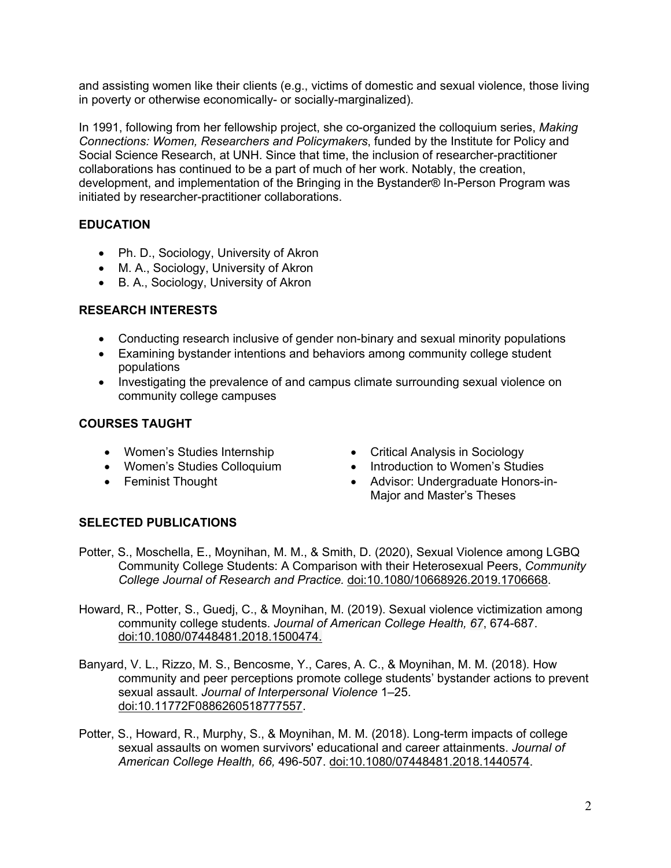and assisting women like their clients (e.g., victims of domestic and sexual violence, those living in poverty or otherwise economically- or socially-marginalized).

In 1991, following from her fellowship project, she co-organized the colloquium series, *Making Connections: Women, Researchers and Policymakers*, funded by the Institute for Policy and Social Science Research, at UNH. Since that time, the inclusion of researcher-practitioner collaborations has continued to be a part of much of her work. Notably, the creation, development, and implementation of the Bringing in the Bystander® In-Person Program was initiated by researcher-practitioner collaborations.

## **EDUCATION**

- Ph. D., Sociology, University of Akron
- M. A., Sociology, University of Akron
- B. A., Sociology, University of Akron

### **RESEARCH INTERESTS**

- Conducting research inclusive of gender non-binary and sexual minority populations
- Examining bystander intentions and behaviors among community college student populations
- Investigating the prevalence of and campus climate surrounding sexual violence on community college campuses

### **COURSES TAUGHT**

- 
- 
- 
- Women's Studies Internship Critical Analysis in Sociology
- Women's Studies Colloquium Introduction to Women's Studies
- Feminist Thought Advisor: Undergraduate Honors-in-Major and Master's Theses

# **SELECTED PUBLICATIONS**

- Potter, S., Moschella, E., Moynihan, M. M., & Smith, D. (2020), Sexual Violence among LGBQ Community College Students: A Comparison with their Heterosexual Peers, *Community College Journal of Research and Practice.* doi:10.1080/10668926.2019.1706668.
- Howard, R., Potter, S., Guedj, C., & Moynihan, M. (2019). Sexual violence victimization among community college students. *Journal of American College Health, 67*, 674-687. doi:10.1080/07448481.2018.1500474.
- Banyard, V. L., Rizzo, M. S., Bencosme, Y., Cares, A. C., & Moynihan, M. M. (2018). How community and peer perceptions promote college students' bystander actions to prevent sexual assault. *Journal of Interpersonal Violence* 1–25. doi:10.11772F0886260518777557.
- Potter, S., Howard, R., Murphy, S., & Moynihan, M. M. (2018). Long-term impacts of college sexual assaults on women survivors' educational and career attainments. *Journal of American College Health, 66,* 496-507. doi:10.1080/07448481.2018.1440574.